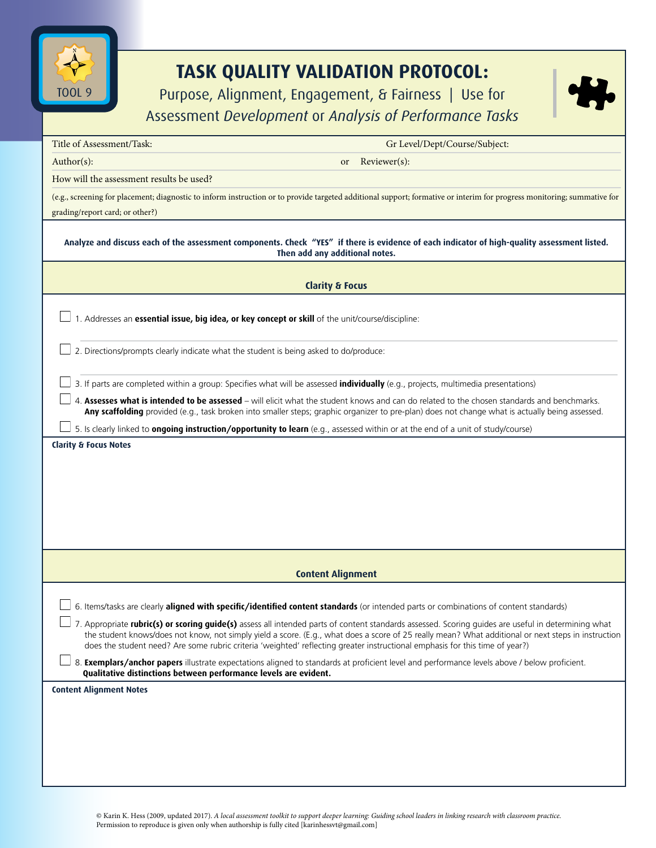

## **TASK QUALITY VALIDATION PROTOCOL:**

Purpose, Alignment, Engagement, & Fairness | Use for



| Assessment Development or Analysis of Performance Tasks                                                                                                                                                                                                                                                                                                                                                                                    |  |  |
|--------------------------------------------------------------------------------------------------------------------------------------------------------------------------------------------------------------------------------------------------------------------------------------------------------------------------------------------------------------------------------------------------------------------------------------------|--|--|
| Title of Assessment/Task:<br>Gr Level/Dept/Course/Subject:                                                                                                                                                                                                                                                                                                                                                                                 |  |  |
| $Author(s)$ :<br>Reviewer(s):<br>or                                                                                                                                                                                                                                                                                                                                                                                                        |  |  |
| How will the assessment results be used?                                                                                                                                                                                                                                                                                                                                                                                                   |  |  |
| (e.g., screening for placement; diagnostic to inform instruction or to provide targeted additional support; formative or interim for progress monitoring; summative for<br>grading/report card; or other?)                                                                                                                                                                                                                                 |  |  |
| Analyze and discuss each of the assessment components. Check "YES" if there is evidence of each indicator of high-quality assessment listed.<br>Then add any additional notes.                                                                                                                                                                                                                                                             |  |  |
| <b>Clarity &amp; Focus</b>                                                                                                                                                                                                                                                                                                                                                                                                                 |  |  |
| 1. Addresses an essential issue, big idea, or key concept or skill of the unit/course/discipline:                                                                                                                                                                                                                                                                                                                                          |  |  |
| 2. Directions/prompts clearly indicate what the student is being asked to do/produce:                                                                                                                                                                                                                                                                                                                                                      |  |  |
| 3. If parts are completed within a group: Specifies what will be assessed <i>individually</i> (e.g., projects, multimedia presentations)                                                                                                                                                                                                                                                                                                   |  |  |
| 4. Assesses what is intended to be assessed - will elicit what the student knows and can do related to the chosen standards and benchmarks.<br>Any scaffolding provided (e.g., task broken into smaller steps; graphic organizer to pre-plan) does not change what is actually being assessed.                                                                                                                                             |  |  |
| 5. Is clearly linked to <b>ongoing instruction/opportunity to learn</b> (e.g., assessed within or at the end of a unit of study/course)                                                                                                                                                                                                                                                                                                    |  |  |
| <b>Clarity &amp; Focus Notes</b>                                                                                                                                                                                                                                                                                                                                                                                                           |  |  |
| <b>Content Alignment</b>                                                                                                                                                                                                                                                                                                                                                                                                                   |  |  |
| 6. Items/tasks are clearly aligned with specific/identified content standards (or intended parts or combinations of content standards)                                                                                                                                                                                                                                                                                                     |  |  |
| 7. Appropriate rubric(s) or scoring guide(s) assess all intended parts of content standards assessed. Scoring guides are useful in determining what<br>the student knows/does not know, not simply yield a score. (E.g., what does a score of 25 really mean? What additional or next steps in instruction<br>does the student need? Are some rubric criteria 'weighted' reflecting greater instructional emphasis for this time of year?) |  |  |
| 8. <b>Exemplars/anchor papers</b> illustrate expectations aligned to standards at proficient level and performance levels above / below proficient.<br>Qualitative distinctions between performance levels are evident.                                                                                                                                                                                                                    |  |  |
| <b>Content Alignment Notes</b>                                                                                                                                                                                                                                                                                                                                                                                                             |  |  |
|                                                                                                                                                                                                                                                                                                                                                                                                                                            |  |  |
|                                                                                                                                                                                                                                                                                                                                                                                                                                            |  |  |
|                                                                                                                                                                                                                                                                                                                                                                                                                                            |  |  |
|                                                                                                                                                                                                                                                                                                                                                                                                                                            |  |  |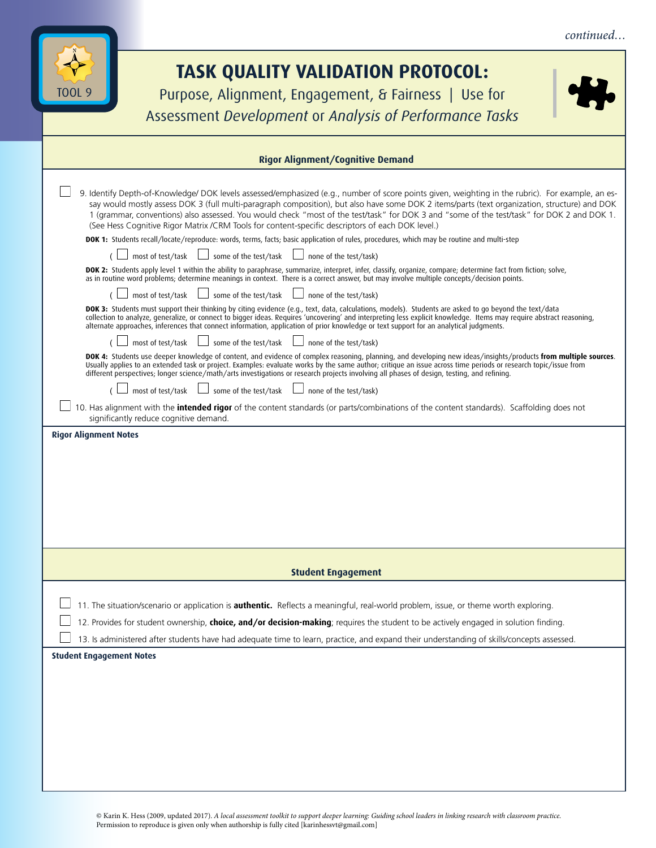| <b>TASK QUALITY VALIDATION PROTOCOL:</b><br>TOOL 9<br>Purpose, Alignment, Engagement, & Fairness   Use for<br>Assessment Development or Analysis of Performance Tasks<br><b>Rigor Alignment/Cognitive Demand</b><br>9. Identify Depth-of-Knowledge/ DOK levels assessed/emphasized (e.g., number of score points given, weighting in the rubric). For example, an es-<br>say would mostly assess DOK 3 (full multi-paragraph composition), but also have some DOK 2 items/parts (text organization, structure) and DOK<br>1 (grammar, conventions) also assessed. You would check "most of the test/task" for DOK 3 and "some of the test/task" for DOK 2 and DOK 1.<br>(See Hess Cognitive Rigor Matrix /CRM Tools for content-specific descriptors of each DOK level.)<br>DOK 1: Students recall/locate/reproduce: words, terms, facts; basic application of rules, procedures, which may be routine and multi-step<br>some of the test/task<br>most of test/task<br>none of the test/task)<br>DOK 2: Students apply level 1 within the ability to paraphrase, summarize, interpret, infer, classify, organize, compare; determine fact from fiction; solve,<br>as in routine word problems; determine meanings in context. There is a correct answer, but may involve multiple concepts/decision points.<br>some of the test/task<br>most of test/task<br>none of the test/task)<br>DOK 3: Students must support their thinking by citing evidence (e.g., text, data, calculations, models). Students are asked to go beyond the text/data<br>collection to analyze, generalize, or connect to bigger ideas. Requires 'uncovering' and interpreting less explicit knowledge. Items may require abstract reasoning,<br>alternate approaches, inferences that connect information, application of prior knowledge or text support for an analytical judgments.<br>most of test/task $\Box$ some of the test/task $\Box$ none of the test/task)<br>DOK 4: Students use deeper knowledge of content, and evidence of complex reasoning, planning, and developing new ideas/insights/products from multiple sources.<br>Usually applies to an extended task or project. Examples: evaluate works by the same author; critique an issue across time periods or research topic/issue from<br>different perspectives; longer science/math/arts investigations or research projects involving all phases of design, testing, and refining.<br>most of test/task $\Box$ some of the test/task $\Box$ none of the test/task)<br>10. Has alignment with the <i>intended rigor</i> of the content standards (or parts/combinations of the content standards). Scaffolding does not<br>significantly reduce cognitive demand.<br><b>Rigor Alignment Notes</b><br><b>Student Engagement</b><br>11. The situation/scenario or application is authentic. Reflects a meaningful, real-world problem, issue, or theme worth exploring.<br>12. Provides for student ownership, choice, and/or decision-making; requires the student to be actively engaged in solution finding.<br>13. Is administered after students have had adequate time to learn, practice, and expand their understanding of skills/concepts assessed.<br><b>Student Engagement Notes</b> |  | continued |  |
|------------------------------------------------------------------------------------------------------------------------------------------------------------------------------------------------------------------------------------------------------------------------------------------------------------------------------------------------------------------------------------------------------------------------------------------------------------------------------------------------------------------------------------------------------------------------------------------------------------------------------------------------------------------------------------------------------------------------------------------------------------------------------------------------------------------------------------------------------------------------------------------------------------------------------------------------------------------------------------------------------------------------------------------------------------------------------------------------------------------------------------------------------------------------------------------------------------------------------------------------------------------------------------------------------------------------------------------------------------------------------------------------------------------------------------------------------------------------------------------------------------------------------------------------------------------------------------------------------------------------------------------------------------------------------------------------------------------------------------------------------------------------------------------------------------------------------------------------------------------------------------------------------------------------------------------------------------------------------------------------------------------------------------------------------------------------------------------------------------------------------------------------------------------------------------------------------------------------------------------------------------------------------------------------------------------------------------------------------------------------------------------------------------------------------------------------------------------------------------------------------------------------------------------------------------------------------------------------------------------------------------------------------------------------------------------------------------------------------------------------------------------------------------------------------------------------------------------------------------------------------------------------------------------------------------------------------------------------------------------------------------------------------------------------------------------------------------------------------------------------------------------------------------------------------------------------------------------------------------------------|--|-----------|--|
|                                                                                                                                                                                                                                                                                                                                                                                                                                                                                                                                                                                                                                                                                                                                                                                                                                                                                                                                                                                                                                                                                                                                                                                                                                                                                                                                                                                                                                                                                                                                                                                                                                                                                                                                                                                                                                                                                                                                                                                                                                                                                                                                                                                                                                                                                                                                                                                                                                                                                                                                                                                                                                                                                                                                                                                                                                                                                                                                                                                                                                                                                                                                                                                                                                                |  |           |  |
|                                                                                                                                                                                                                                                                                                                                                                                                                                                                                                                                                                                                                                                                                                                                                                                                                                                                                                                                                                                                                                                                                                                                                                                                                                                                                                                                                                                                                                                                                                                                                                                                                                                                                                                                                                                                                                                                                                                                                                                                                                                                                                                                                                                                                                                                                                                                                                                                                                                                                                                                                                                                                                                                                                                                                                                                                                                                                                                                                                                                                                                                                                                                                                                                                                                |  |           |  |
|                                                                                                                                                                                                                                                                                                                                                                                                                                                                                                                                                                                                                                                                                                                                                                                                                                                                                                                                                                                                                                                                                                                                                                                                                                                                                                                                                                                                                                                                                                                                                                                                                                                                                                                                                                                                                                                                                                                                                                                                                                                                                                                                                                                                                                                                                                                                                                                                                                                                                                                                                                                                                                                                                                                                                                                                                                                                                                                                                                                                                                                                                                                                                                                                                                                |  |           |  |
|                                                                                                                                                                                                                                                                                                                                                                                                                                                                                                                                                                                                                                                                                                                                                                                                                                                                                                                                                                                                                                                                                                                                                                                                                                                                                                                                                                                                                                                                                                                                                                                                                                                                                                                                                                                                                                                                                                                                                                                                                                                                                                                                                                                                                                                                                                                                                                                                                                                                                                                                                                                                                                                                                                                                                                                                                                                                                                                                                                                                                                                                                                                                                                                                                                                |  |           |  |
|                                                                                                                                                                                                                                                                                                                                                                                                                                                                                                                                                                                                                                                                                                                                                                                                                                                                                                                                                                                                                                                                                                                                                                                                                                                                                                                                                                                                                                                                                                                                                                                                                                                                                                                                                                                                                                                                                                                                                                                                                                                                                                                                                                                                                                                                                                                                                                                                                                                                                                                                                                                                                                                                                                                                                                                                                                                                                                                                                                                                                                                                                                                                                                                                                                                |  |           |  |
|                                                                                                                                                                                                                                                                                                                                                                                                                                                                                                                                                                                                                                                                                                                                                                                                                                                                                                                                                                                                                                                                                                                                                                                                                                                                                                                                                                                                                                                                                                                                                                                                                                                                                                                                                                                                                                                                                                                                                                                                                                                                                                                                                                                                                                                                                                                                                                                                                                                                                                                                                                                                                                                                                                                                                                                                                                                                                                                                                                                                                                                                                                                                                                                                                                                |  |           |  |
|                                                                                                                                                                                                                                                                                                                                                                                                                                                                                                                                                                                                                                                                                                                                                                                                                                                                                                                                                                                                                                                                                                                                                                                                                                                                                                                                                                                                                                                                                                                                                                                                                                                                                                                                                                                                                                                                                                                                                                                                                                                                                                                                                                                                                                                                                                                                                                                                                                                                                                                                                                                                                                                                                                                                                                                                                                                                                                                                                                                                                                                                                                                                                                                                                                                |  |           |  |
|                                                                                                                                                                                                                                                                                                                                                                                                                                                                                                                                                                                                                                                                                                                                                                                                                                                                                                                                                                                                                                                                                                                                                                                                                                                                                                                                                                                                                                                                                                                                                                                                                                                                                                                                                                                                                                                                                                                                                                                                                                                                                                                                                                                                                                                                                                                                                                                                                                                                                                                                                                                                                                                                                                                                                                                                                                                                                                                                                                                                                                                                                                                                                                                                                                                |  |           |  |
|                                                                                                                                                                                                                                                                                                                                                                                                                                                                                                                                                                                                                                                                                                                                                                                                                                                                                                                                                                                                                                                                                                                                                                                                                                                                                                                                                                                                                                                                                                                                                                                                                                                                                                                                                                                                                                                                                                                                                                                                                                                                                                                                                                                                                                                                                                                                                                                                                                                                                                                                                                                                                                                                                                                                                                                                                                                                                                                                                                                                                                                                                                                                                                                                                                                |  |           |  |
|                                                                                                                                                                                                                                                                                                                                                                                                                                                                                                                                                                                                                                                                                                                                                                                                                                                                                                                                                                                                                                                                                                                                                                                                                                                                                                                                                                                                                                                                                                                                                                                                                                                                                                                                                                                                                                                                                                                                                                                                                                                                                                                                                                                                                                                                                                                                                                                                                                                                                                                                                                                                                                                                                                                                                                                                                                                                                                                                                                                                                                                                                                                                                                                                                                                |  |           |  |
|                                                                                                                                                                                                                                                                                                                                                                                                                                                                                                                                                                                                                                                                                                                                                                                                                                                                                                                                                                                                                                                                                                                                                                                                                                                                                                                                                                                                                                                                                                                                                                                                                                                                                                                                                                                                                                                                                                                                                                                                                                                                                                                                                                                                                                                                                                                                                                                                                                                                                                                                                                                                                                                                                                                                                                                                                                                                                                                                                                                                                                                                                                                                                                                                                                                |  |           |  |